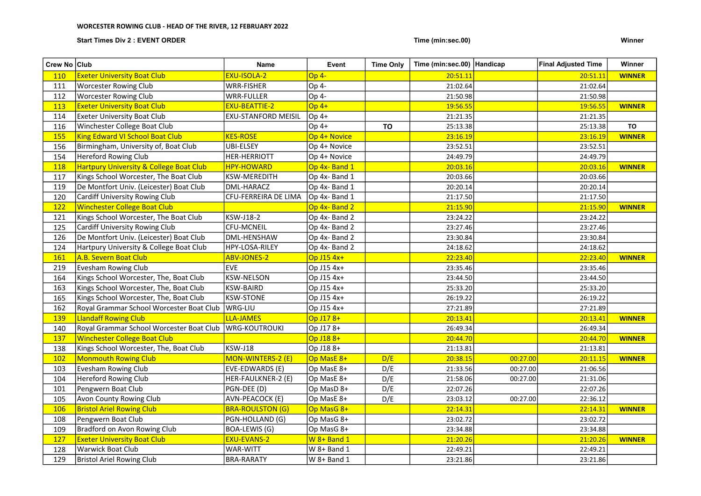## Start Times Div 2 : EVENT ORDER Winner

| Crew No Club |                                                    | Name                    | Event         | <b>Time Only</b> | Time (min:sec.00)   Handicap |          | <b>Final Adjusted Time</b> | Winner        |
|--------------|----------------------------------------------------|-------------------------|---------------|------------------|------------------------------|----------|----------------------------|---------------|
| 110          | <b>Exeter University Boat Club</b>                 | EXU-ISOLA-2             | Op 4-         |                  | 20:51.11                     |          | 20:51.11                   | <b>WINNER</b> |
| 111          | <b>Worcester Rowing Club</b>                       | <b>WRR-FISHER</b>       | Op 4-         |                  | 21:02.64                     |          | 21:02.64                   |               |
| 112          | <b>Worcester Rowing Club</b>                       | <b>WRR-FULLER</b>       | Op 4-         |                  | 21:50.98                     |          | 21:50.98                   |               |
| 113          | <b>Exeter University Boat Club</b>                 | EXU-BEATTIE-2           | $Op4+$        |                  | 19:56.55                     |          | 19:56.55                   | <b>WINNER</b> |
| 114          | <b>Exeter University Boat Club</b>                 | EXU-STANFORD MEISIL     | $Op 4+$       |                  | 21:21.35                     |          | 21:21.35                   |               |
| 116          | Winchester College Boat Club                       |                         | $Op 4+$       | <b>TO</b>        | 25:13.38                     |          | 25:13.38                   | <b>TO</b>     |
| 155          | <b>King Edward VI School Boat Club</b>             | <b>KES-ROSE</b>         | Op 4+ Novice  |                  | 23:16.19                     |          | 23:16.19                   | <b>WINNER</b> |
| 156          | Birmingham, University of, Boat Club               | <b>UBI-ELSEY</b>        | Op 4+ Novice  |                  | 23:52.51                     |          | 23:52.51                   |               |
| 154          | <b>Hereford Rowing Club</b>                        | <b>HER-HERRIOTT</b>     | Op 4+ Novice  |                  | 24:49.79                     |          | 24:49.79                   |               |
| <b>118</b>   | <b>Hartpury University &amp; College Boat Club</b> | <b>HPY-HOWARD</b>       | Op 4x-Band 1  |                  | 20:03.16                     |          | 20:03.16                   | <b>WINNER</b> |
| 117          | Kings School Worcester, The Boat Club              | <b>KSW-MEREDITH</b>     | Op 4x-Band 1  |                  | 20:03.66                     |          | 20:03.66                   |               |
| 119          | De Montfort Univ. (Leicester) Boat Club            | DML-HARACZ              | Op 4x-Band 1  |                  | 20:20.14                     |          | 20:20.14                   |               |
| 120          | Cardiff University Rowing Club                     | CFU-FERREIRA DE LIMA    | Op 4x-Band 1  |                  | 21:17.50                     |          | 21:17.50                   |               |
| 122          | <b>Winchester College Boat Club</b>                |                         | Op 4x- Band 2 |                  | 21:15.90                     |          | 21:15.90                   | <b>WINNER</b> |
| 121          | Kings School Worcester, The Boat Club              | KSW-J18-2               | Op 4x-Band 2  |                  | 23:24.22                     |          | 23:24.22                   |               |
| 125          | <b>Cardiff University Rowing Club</b>              | <b>CFU-MCNEIL</b>       | Op 4x-Band 2  |                  | 23:27.46                     |          | 23:27.46                   |               |
| 126          | De Montfort Univ. (Leicester) Boat Club            | DML-HENSHAW             | Op 4x-Band 2  |                  | 23:30.84                     |          | 23:30.84                   |               |
| 124          | Hartpury University & College Boat Club            | HPY-LOSA-RILEY          | Op 4x-Band 2  |                  | 24:18.62                     |          | 24:18.62                   |               |
| 161          | A.B. Severn Boat Club                              | <b>ABV-JONES-2</b>      | Op J15 4x+    |                  | 22:23.40                     |          | 22:23.40                   | <b>WINNER</b> |
| 219          | <b>Evesham Rowing Club</b>                         | <b>EVE</b>              | Op J15 4x+    |                  | 23:35.46                     |          | 23:35.46                   |               |
| 164          | Kings School Worcester, The, Boat Club             | <b>KSW-NELSON</b>       | Op J15 4x+    |                  | 23:44.50                     |          | 23:44.50                   |               |
| 163          | Kings School Worcester, The, Boat Club             | <b>KSW-BAIRD</b>        | Op J15 4x+    |                  | 25:33.20                     |          | 25:33.20                   |               |
| 165          | Kings School Worcester, The, Boat Club             | <b>KSW-STONE</b>        | Op J15 4x+    |                  | 26:19.22                     |          | 26:19.22                   |               |
| 162          | Royal Grammar School Worcester Boat Club           | WRG-LIU                 | Op J15 4x+    |                  | 27:21.89                     |          | 27:21.89                   |               |
| 139          | <b>Llandaff Rowing Club</b>                        | LLA-JAMES               | Op J178+      |                  | 20:13.41                     |          | 20:13.41                   | <b>WINNER</b> |
| 140          | Royal Grammar School Worcester Boat Club           | WRG-KOUTROUKI           | Op J178+      |                  | 26:49.34                     |          | 26:49.34                   |               |
| 137          | <b>Winchester College Boat Club</b>                |                         | Op J18 8+     |                  | 20:44.70                     |          | 20:44.70                   | <b>WINNER</b> |
| 138          | Kings School Worcester, The, Boat Club             | KSW-J18                 | Op J188+      |                  | 21:13.81                     |          | 21:13.81                   |               |
| 102          | <b>Monmouth Rowing Club</b>                        | MON-WINTERS-2 (E)       | Op MasE 8+    | D/E              | 20:38.15                     | 00:27.00 | 20:11.15                   | <b>WINNER</b> |
| 103          | <b>Evesham Rowing Club</b>                         | EVE-EDWARDS (E)         | Op MasE 8+    | D/E              | 21:33.56                     | 00:27.00 | 21:06.56                   |               |
| 104          | <b>Hereford Rowing Club</b>                        | HER-FAULKNER-2 (E)      | Op MasE 8+    | D/E              | 21:58.06                     | 00:27.00 | 21:31.06                   |               |
| 101          | Pengwern Boat Club                                 | PGN-DEE (D)             | Op MasD 8+    | D/E              | 22:07.26                     |          | 22:07.26                   |               |
| 105          | Avon County Rowing Club                            | AVN-PEACOCK (E)         | Op MasE 8+    | D/E              | 23:03.12                     | 00:27.00 | 22:36.12                   |               |
| 106          | <b>Bristol Ariel Rowing Club</b>                   | <b>BRA-ROULSTON (G)</b> | Op MasG 8+    |                  | 22:14.31                     |          | 22:14.31                   | <b>WINNER</b> |
| 108          | Pengwern Boat Club                                 | PGN-HOLLAND (G)         | Op MasG 8+    |                  | 23:02.72                     |          | 23:02.72                   |               |
| 109          | Bradford on Avon Rowing Club                       | BOA-LEWIS (G)           | Op MasG 8+    |                  | 23:34.88                     |          | 23:34.88                   |               |
| 127          | <b>Exeter University Boat Club</b>                 | EXU-EVANS-2             | W 8+ Band 1   |                  | 21:20.26                     |          | 21:20.26                   | <b>WINNER</b> |
| 128          | <b>Warwick Boat Club</b>                           | WAR-WITT                | W 8+ Band 1   |                  | 22:49.21                     |          | 22:49.21                   |               |
| 129          | <b>Bristol Ariel Rowing Club</b>                   | <b>BRA-RARATY</b>       | W 8+ Band 1   |                  | 23:21.86                     |          | 23:21.86                   |               |